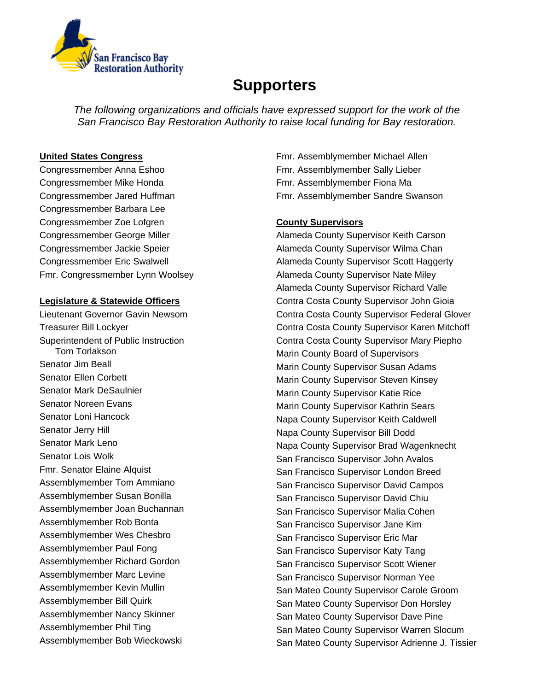

# **Supporters**

*The following organizations and officials have expressed support for the work of the San Francisco Bay Restoration Authority to raise local funding for Bay restoration.* 

## **United States Congress**

Congressmember Anna Eshoo Congressmember Mike Honda Congressmember Jared Huffman Congressmember Barbara Lee Congressmember Zoe Lofgren Congressmember George Miller Congressmember Jackie Speier Congressmember Eric Swalwell Fmr. Congressmember Lynn Woolsey

## **Legislature & Statewide Officers**

Lieutenant Governor Gavin Newsom Treasurer Bill Lockyer Superintendent of Public Instruction Tom Torlakson Senator Jim Beall Senator Ellen Corbett Senator Mark DeSaulnier Senator Noreen Evans Senator Loni Hancock Senator Jerry Hill Senator Mark Leno Senator Lois Wolk Fmr. Senator Elaine Alquist Assemblymember Tom Ammiano Assemblymember Susan Bonilla Assemblymember Joan Buchannan Assemblymember Rob Bonta Assemblymember Wes Chesbro Assemblymember Paul Fong Assemblymember Richard Gordon Assemblymember Marc Levine Assemblymember Kevin Mullin Assemblymember Bill Quirk Assemblymember Nancy Skinner Assemblymember Phil Ting Assemblymember Bob Wieckowski

Fmr. Assemblymember Michael Allen Fmr. Assemblymember Sally Lieber Fmr. Assemblymember Fiona Ma Fmr. Assemblymember Sandre Swanson

# **County Supervisors**

Alameda County Supervisor Keith Carson Alameda County Supervisor Wilma Chan Alameda County Supervisor Scott Haggerty Alameda County Supervisor Nate Miley Alameda County Supervisor Richard Valle Contra Costa County Supervisor John Gioia Contra Costa County Supervisor Federal Glover Contra Costa County Supervisor Karen Mitchoff Contra Costa County Supervisor Mary Piepho Marin County Board of Supervisors Marin County Supervisor Susan Adams Marin County Supervisor Steven Kinsey Marin County Supervisor Katie Rice Marin County Supervisor Kathrin Sears Napa County Supervisor Keith Caldwell Napa County Supervisor Bill Dodd Napa County Supervisor Brad Wagenknecht San Francisco Supervisor John Avalos San Francisco Supervisor London Breed San Francisco Supervisor David Campos San Francisco Supervisor David Chiu San Francisco Supervisor Malia Cohen San Francisco Supervisor Jane Kim San Francisco Supervisor Eric Mar San Francisco Supervisor Katy Tang San Francisco Supervisor Scott Wiener San Francisco Supervisor Norman Yee San Mateo County Supervisor Carole Groom San Mateo County Supervisor Don Horsley San Mateo County Supervisor Dave Pine San Mateo County Supervisor Warren Slocum San Mateo County Supervisor Adrienne J. Tissier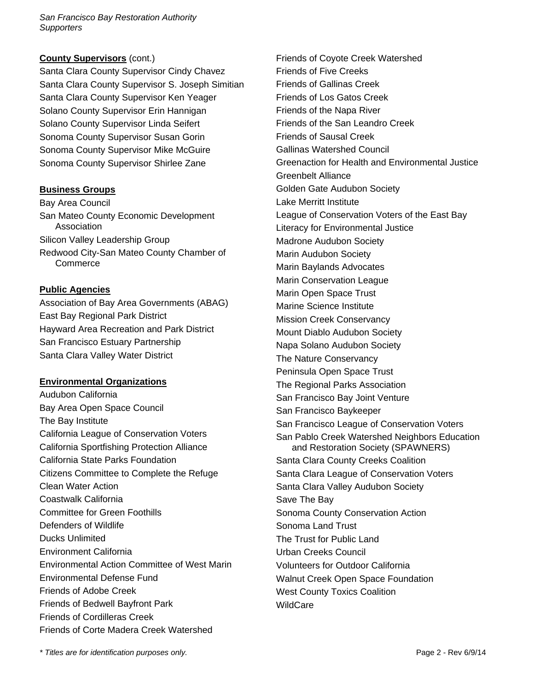*San Francisco Bay Restoration Authority Supporters* 

#### **County Supervisors** (cont.)

Santa Clara County Supervisor Cindy Chavez Santa Clara County Supervisor S. Joseph Simitian Santa Clara County Supervisor Ken Yeager Solano County Supervisor Erin Hannigan Solano County Supervisor Linda Seifert Sonoma County Supervisor Susan Gorin Sonoma County Supervisor Mike McGuire Sonoma County Supervisor Shirlee Zane

## **Business Groups**

Bay Area Council San Mateo County Economic Development Association Silicon Valley Leadership Group Redwood City-San Mateo County Chamber of **Commerce** 

## **Public Agencies**

Association of Bay Area Governments (ABAG) East Bay Regional Park District Hayward Area Recreation and Park District San Francisco Estuary Partnership Santa Clara Valley Water District

## **Environmental Organizations**

Audubon California Bay Area Open Space Council The Bay Institute California League of Conservation Voters California Sportfishing Protection Alliance California State Parks Foundation Citizens Committee to Complete the Refuge Clean Water Action Coastwalk California Committee for Green Foothills Defenders of Wildlife Ducks Unlimited Environment California Environmental Action Committee of West Marin Environmental Defense Fund Friends of Adobe Creek Friends of Bedwell Bayfront Park Friends of Cordilleras Creek Friends of Corte Madera Creek Watershed

Friends of Coyote Creek Watershed Friends of Five Creeks Friends of Gallinas Creek Friends of Los Gatos Creek Friends of the Napa River Friends of the San Leandro Creek Friends of Sausal Creek Gallinas Watershed Council Greenaction for Health and Environmental Justice Greenbelt Alliance Golden Gate Audubon Society Lake Merritt Institute League of Conservation Voters of the East Bay Literacy for Environmental Justice Madrone Audubon Society Marin Audubon Society Marin Baylands Advocates Marin Conservation League Marin Open Space Trust Marine Science Institute Mission Creek Conservancy Mount Diablo Audubon Society Napa Solano Audubon Society The Nature Conservancy Peninsula Open Space Trust The Regional Parks Association San Francisco Bay Joint Venture San Francisco Baykeeper San Francisco League of Conservation Voters San Pablo Creek Watershed Neighbors Education and Restoration Society (SPAWNERS) Santa Clara County Creeks Coalition Santa Clara League of Conservation Voters Santa Clara Valley Audubon Society Save The Bay Sonoma County Conservation Action Sonoma Land Trust The Trust for Public Land Urban Creeks Council Volunteers for Outdoor California Walnut Creek Open Space Foundation West County Toxics Coalition **WildCare** 

*\* Titles are for identification purposes only.* Page 2 - Rev 6/9/14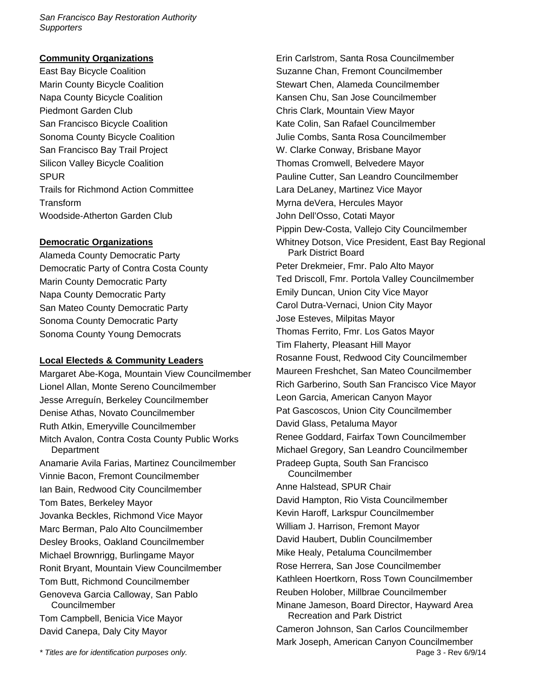*San Francisco Bay Restoration Authority Supporters* 

#### **Community Organizations**

East Bay Bicycle Coalition Marin County Bicycle Coalition Napa County Bicycle Coalition Piedmont Garden Club San Francisco Bicycle Coalition Sonoma County Bicycle Coalition San Francisco Bay Trail Project Silicon Valley Bicycle Coalition SPUR Trails for Richmond Action Committee **Transform** Woodside-Atherton Garden Club

#### **Democratic Organizations**

Alameda County Democratic Party Democratic Party of Contra Costa County Marin County Democratic Party Napa County Democratic Party San Mateo County Democratic Party Sonoma County Democratic Party Sonoma County Young Democrats

## **Local Electeds & Community Leaders**

Margaret Abe-Koga, Mountain View Councilmember Lionel Allan, Monte Sereno Councilmember Jesse Arreguín, Berkeley Councilmember Denise Athas, Novato Councilmember Ruth Atkin, Emeryville Councilmember Mitch Avalon, Contra Costa County Public Works **Department** Anamarie Avila Farias, Martinez Councilmember Vinnie Bacon, Fremont Councilmember Ian Bain, Redwood City Councilmember Tom Bates, Berkeley Mayor Jovanka Beckles, Richmond Vice Mayor Marc Berman, Palo Alto Councilmember Desley Brooks, Oakland Councilmember Michael Brownrigg, Burlingame Mayor Ronit Bryant, Mountain View Councilmember Tom Butt, Richmond Councilmember Genoveva Garcia Calloway, San Pablo Councilmember Tom Campbell, Benicia Vice Mayor David Canepa, Daly City Mayor

Erin Carlstrom, Santa Rosa Councilmember Suzanne Chan, Fremont Councilmember Stewart Chen, Alameda Councilmember Kansen Chu, San Jose Councilmember Chris Clark, Mountain View Mayor Kate Colin, San Rafael Councilmember Julie Combs, Santa Rosa Councilmember W. Clarke Conway, Brisbane Mayor Thomas Cromwell, Belvedere Mayor Pauline Cutter, San Leandro Councilmember Lara DeLaney, Martinez Vice Mayor Myrna deVera, Hercules Mayor John Dell'Osso, Cotati Mayor Pippin Dew-Costa, Vallejo City Councilmember Whitney Dotson, Vice President, East Bay Regional Park District Board Peter Drekmeier, Fmr. Palo Alto Mayor Ted Driscoll, Fmr. Portola Valley Councilmember Emily Duncan, Union City Vice Mayor Carol Dutra-Vernaci, Union City Mayor Jose Esteves, Milpitas Mayor Thomas Ferrito, Fmr. Los Gatos Mayor Tim Flaherty, Pleasant Hill Mayor Rosanne Foust, Redwood City Councilmember Maureen Freshchet, San Mateo Councilmember Rich Garberino, South San Francisco Vice Mayor Leon Garcia, American Canyon Mayor Pat Gascoscos, Union City Councilmember David Glass, Petaluma Mayor Renee Goddard, Fairfax Town Councilmember Michael Gregory, San Leandro Councilmember Pradeep Gupta, South San Francisco Councilmember Anne Halstead, SPUR Chair David Hampton, Rio Vista Councilmember Kevin Haroff, Larkspur Councilmember William J. Harrison, Fremont Mayor David Haubert, Dublin Councilmember Mike Healy, Petaluma Councilmember Rose Herrera, San Jose Councilmember Kathleen Hoertkorn, Ross Town Councilmember Reuben Holober, Millbrae Councilmember Minane Jameson, Board Director, Hayward Area Recreation and Park District Cameron Johnson, San Carlos Councilmember Mark Joseph, American Canyon Councilmember